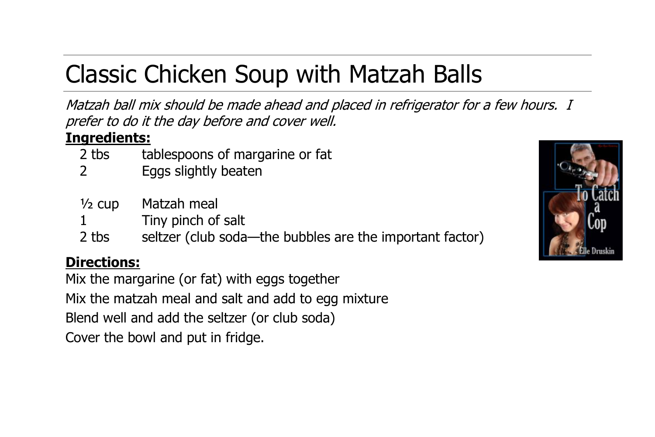# Classic Chicken Soup with Matzah Balls

Matzah ball mix should be made ahead and placed in refrigerator for a few hours. I prefer to do it the day before and cover well.

### **Ingredients:**

- 2 tbs tablespoons of margarine or fat
- 2 Eggs slightly beaten

| ½ cup | Matzah meal                                              |
|-------|----------------------------------------------------------|
|       | Tiny pinch of salt                                       |
| 2 tbs | seltzer (club soda—the bubbles are the important factor) |

## **Directions:**

Mix the margarine (or fat) with eggs together Mix the matzah meal and salt and add to egg mixture Blend well and add the seltzer (or club soda) Cover the bowl and put in fridge.

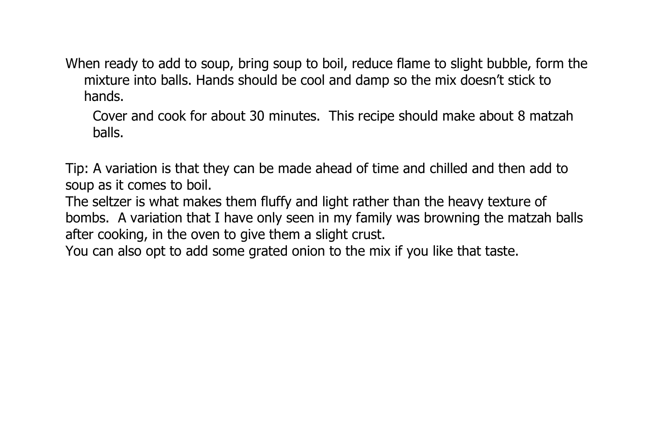When ready to add to soup, bring soup to boil, reduce flame to slight bubble, form the mixture into balls. Hands should be cool and damp so the mix doesn't stick to hands.

Cover and cook for about 30 minutes. This recipe should make about 8 matzah balls.

Tip: A variation is that they can be made ahead of time and chilled and then add to soup as it comes to boil.

The seltzer is what makes them fluffy and light rather than the heavy texture of bombs. A variation that I have only seen in my family was browning the matzah balls after cooking, in the oven to give them a slight crust.

You can also opt to add some grated onion to the mix if you like that taste.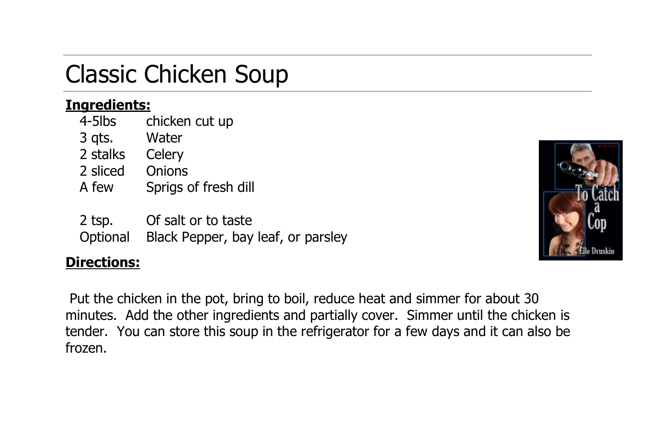## Classic Chicken Soup

#### **Ingredients:**

4-5lbs chicken cut up

- 3 qts. Water
- 2 stalks Celery
- 2 sliced Onions
- A few Sprigs of fresh dill
- 2 tsp. Of salt or to taste
- Optional Black Pepper, bay leaf, or parsley

## **Directions:**

Put the chicken in the pot, bring to boil, reduce heat and simmer for about 30 minutes. Add the other ingredients and partially cover. Simmer until the chicken is tender. You can store this soup in the refrigerator for a few days and it can also be frozen.